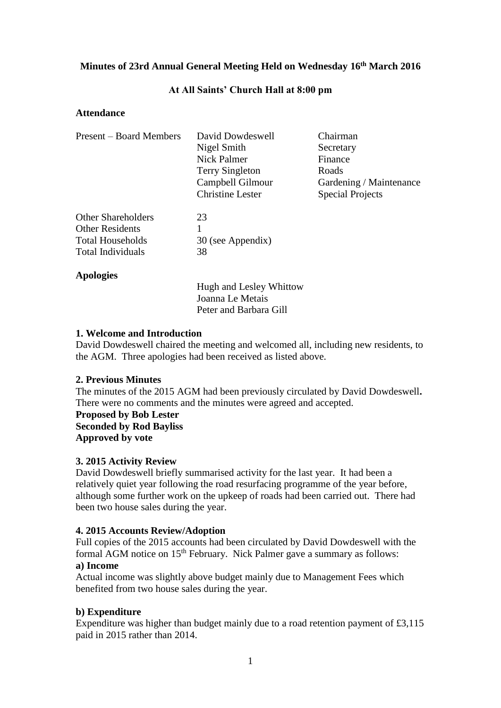# **Minutes of 23rd Annual General Meeting Held on Wednesday 16th March 2016**

## **At All Saints' Church Hall at 8:00 pm**

## **Attendance**

| <b>Present – Board Members</b> | David Dowdeswell        | Chairman                |
|--------------------------------|-------------------------|-------------------------|
|                                | Nigel Smith             | Secretary               |
|                                | <b>Nick Palmer</b>      | Finance                 |
|                                | <b>Terry Singleton</b>  | Roads                   |
|                                | Campbell Gilmour        | Gardening / Maintenance |
|                                | <b>Christine Lester</b> | <b>Special Projects</b> |
| <b>Other Shareholders</b>      | 23                      |                         |
| <b>Other Residents</b>         |                         |                         |
| <b>Total Households</b>        | 30 (see Appendix)       |                         |
| Total Individuals              | 38                      |                         |
| <b>Apologies</b>               |                         |                         |

Hugh and Lesley Whittow Joanna Le Metais Peter and Barbara Gill

## **1. Welcome and Introduction**

David Dowdeswell chaired the meeting and welcomed all, including new residents, to the AGM. Three apologies had been received as listed above.

### **2. Previous Minutes**

The minutes of the 2015 AGM had been previously circulated by David Dowdeswell**.** There were no comments and the minutes were agreed and accepted.

**Proposed by Bob Lester Seconded by Rod Bayliss Approved by vote**

### **3. 2015 Activity Review**

David Dowdeswell briefly summarised activity for the last year. It had been a relatively quiet year following the road resurfacing programme of the year before, although some further work on the upkeep of roads had been carried out. There had been two house sales during the year.

### **4. 2015 Accounts Review/Adoption**

Full copies of the 2015 accounts had been circulated by David Dowdeswell with the formal AGM notice on 15<sup>th</sup> February. Nick Palmer gave a summary as follows: **a) Income**

Actual income was slightly above budget mainly due to Management Fees which benefited from two house sales during the year.

# **b) Expenditure**

Expenditure was higher than budget mainly due to a road retention payment of £3,115 paid in 2015 rather than 2014.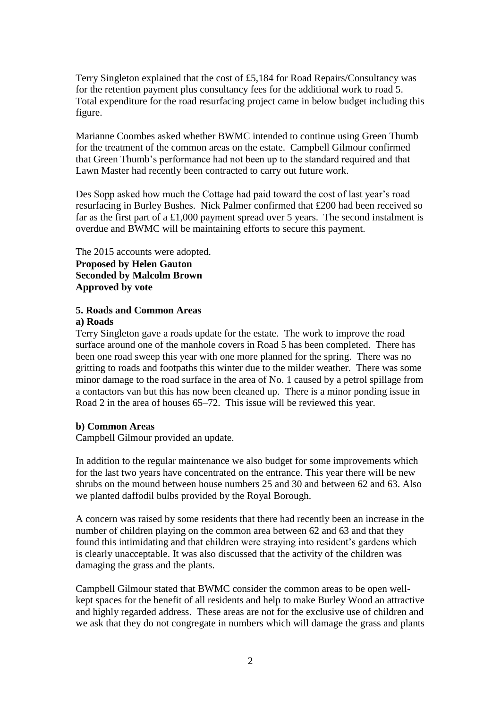Terry Singleton explained that the cost of £5,184 for Road Repairs/Consultancy was for the retention payment plus consultancy fees for the additional work to road 5. Total expenditure for the road resurfacing project came in below budget including this figure.

Marianne Coombes asked whether BWMC intended to continue using Green Thumb for the treatment of the common areas on the estate. Campbell Gilmour confirmed that Green Thumb's performance had not been up to the standard required and that Lawn Master had recently been contracted to carry out future work.

Des Sopp asked how much the Cottage had paid toward the cost of last year's road resurfacing in Burley Bushes. Nick Palmer confirmed that £200 had been received so far as the first part of a £1,000 payment spread over 5 years. The second instalment is overdue and BWMC will be maintaining efforts to secure this payment.

The 2015 accounts were adopted. **Proposed by Helen Gauton Seconded by Malcolm Brown Approved by vote**

# **5. Roads and Common Areas**

### **a) Roads**

Terry Singleton gave a roads update for the estate. The work to improve the road surface around one of the manhole covers in Road 5 has been completed. There has been one road sweep this year with one more planned for the spring. There was no gritting to roads and footpaths this winter due to the milder weather. There was some minor damage to the road surface in the area of No. 1 caused by a petrol spillage from a contactors van but this has now been cleaned up. There is a minor ponding issue in Road 2 in the area of houses 65–72. This issue will be reviewed this year.

### **b) Common Areas**

Campbell Gilmour provided an update.

In addition to the regular maintenance we also budget for some improvements which for the last two years have concentrated on the entrance. This year there will be new shrubs on the mound between house numbers 25 and 30 and between 62 and 63. Also we planted daffodil bulbs provided by the Royal Borough.

A concern was raised by some residents that there had recently been an increase in the number of children playing on the common area between 62 and 63 and that they found this intimidating and that children were straying into resident's gardens which is clearly unacceptable. It was also discussed that the activity of the children was damaging the grass and the plants.

Campbell Gilmour stated that BWMC consider the common areas to be open wellkept spaces for the benefit of all residents and help to make Burley Wood an attractive and highly regarded address. These areas are not for the exclusive use of children and we ask that they do not congregate in numbers which will damage the grass and plants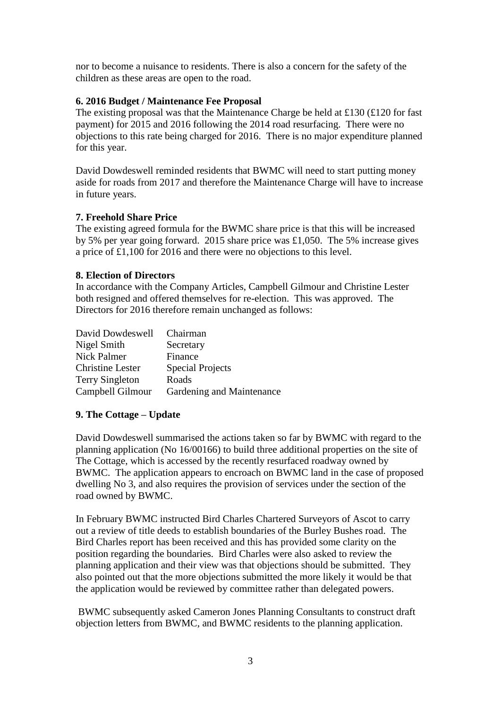nor to become a nuisance to residents. There is also a concern for the safety of the children as these areas are open to the road.

## **6. 2016 Budget / Maintenance Fee Proposal**

The existing proposal was that the Maintenance Charge be held at £130 (£120 for fast payment) for 2015 and 2016 following the 2014 road resurfacing. There were no objections to this rate being charged for 2016. There is no major expenditure planned for this year.

David Dowdeswell reminded residents that BWMC will need to start putting money aside for roads from 2017 and therefore the Maintenance Charge will have to increase in future years.

## **7. Freehold Share Price**

The existing agreed formula for the BWMC share price is that this will be increased by 5% per year going forward. 2015 share price was £1,050. The 5% increase gives a price of £1,100 for 2016 and there were no objections to this level.

## **8. Election of Directors**

In accordance with the Company Articles, Campbell Gilmour and Christine Lester both resigned and offered themselves for re-election. This was approved. The Directors for 2016 therefore remain unchanged as follows:

| David Dowdeswell        | Chairman                  |
|-------------------------|---------------------------|
| Nigel Smith             | Secretary                 |
| Nick Palmer             | Finance                   |
| <b>Christine Lester</b> | <b>Special Projects</b>   |
| <b>Terry Singleton</b>  | Roads                     |
| Campbell Gilmour        | Gardening and Maintenance |

# **9. The Cottage – Update**

David Dowdeswell summarised the actions taken so far by BWMC with regard to the planning application (No 16/00166) to build three additional properties on the site of The Cottage, which is accessed by the recently resurfaced roadway owned by BWMC. The application appears to encroach on BWMC land in the case of proposed dwelling No 3, and also requires the provision of services under the section of the road owned by BWMC.

In February BWMC instructed Bird Charles Chartered Surveyors of Ascot to carry out a review of title deeds to establish boundaries of the Burley Bushes road. The Bird Charles report has been received and this has provided some clarity on the position regarding the boundaries. Bird Charles were also asked to review the planning application and their view was that objections should be submitted. They also pointed out that the more objections submitted the more likely it would be that the application would be reviewed by committee rather than delegated powers.

BWMC subsequently asked Cameron Jones Planning Consultants to construct draft objection letters from BWMC, and BWMC residents to the planning application.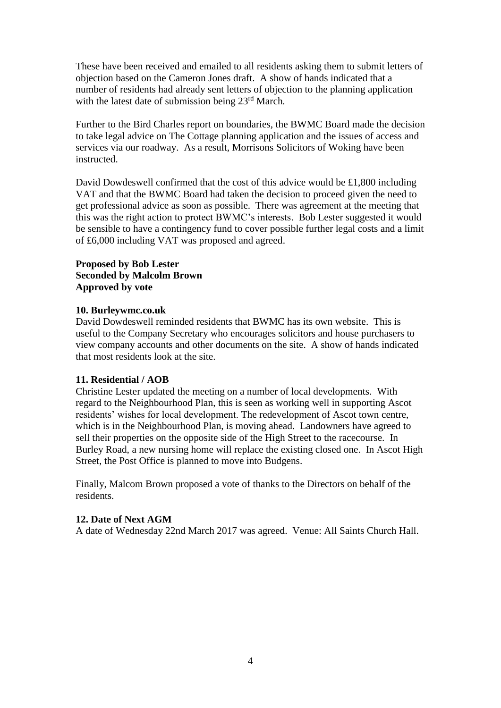These have been received and emailed to all residents asking them to submit letters of objection based on the Cameron Jones draft. A show of hands indicated that a number of residents had already sent letters of objection to the planning application with the latest date of submission being 23rd March*.*

Further to the Bird Charles report on boundaries, the BWMC Board made the decision to take legal advice on The Cottage planning application and the issues of access and services via our roadway. As a result, Morrisons Solicitors of Woking have been instructed.

David Dowdeswell confirmed that the cost of this advice would be £1,800 including VAT and that the BWMC Board had taken the decision to proceed given the need to get professional advice as soon as possible. There was agreement at the meeting that this was the right action to protect BWMC's interests. Bob Lester suggested it would be sensible to have a contingency fund to cover possible further legal costs and a limit of £6,000 including VAT was proposed and agreed.

## **Proposed by Bob Lester Seconded by Malcolm Brown Approved by vote**

### **10. Burleywmc.co.uk**

David Dowdeswell reminded residents that BWMC has its own website. This is useful to the Company Secretary who encourages solicitors and house purchasers to view company accounts and other documents on the site. A show of hands indicated that most residents look at the site.

### **11. Residential / AOB**

Christine Lester updated the meeting on a number of local developments. With regard to the Neighbourhood Plan, this is seen as working well in supporting Ascot residents' wishes for local development. The redevelopment of Ascot town centre, which is in the Neighbourhood Plan, is moving ahead. Landowners have agreed to sell their properties on the opposite side of the High Street to the racecourse. In Burley Road, a new nursing home will replace the existing closed one. In Ascot High Street, the Post Office is planned to move into Budgens.

Finally, Malcom Brown proposed a vote of thanks to the Directors on behalf of the residents.

#### **12. Date of Next AGM**

A date of Wednesday 22nd March 2017 was agreed. Venue: All Saints Church Hall.